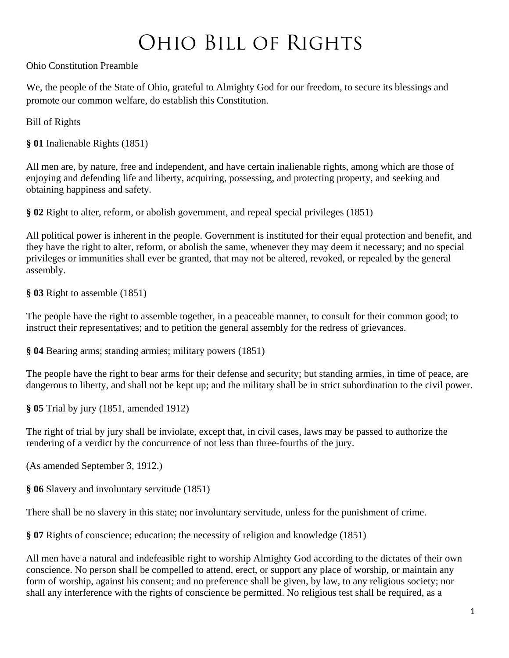Ohio Constitution Preamble

We, the people of the State of Ohio, grateful to Almighty God for our freedom, to secure its blessings and promote our common welfare, do establish this Constitution.

Bill of Rights

**§ 01** Inalienable Rights (1851)

All men are, by nature, free and independent, and have certain inalienable rights, among which are those of enjoying and defending life and liberty, acquiring, possessing, and protecting property, and seeking and obtaining happiness and safety.

**§ 02** Right to alter, reform, or abolish government, and repeal special privileges (1851)

All political power is inherent in the people. Government is instituted for their equal protection and benefit, and they have the right to alter, reform, or abolish the same, whenever they may deem it necessary; and no special privileges or immunities shall ever be granted, that may not be altered, revoked, or repealed by the general assembly.

**§ 03** Right to assemble (1851)

The people have the right to assemble together, in a peaceable manner, to consult for their common good; to instruct their representatives; and to petition the general assembly for the redress of grievances.

**§ 04** Bearing arms; standing armies; military powers (1851)

The people have the right to bear arms for their defense and security; but standing armies, in time of peace, are dangerous to liberty, and shall not be kept up; and the military shall be in strict subordination to the civil power.

**§ 05** Trial by jury (1851, amended 1912)

The right of trial by jury shall be inviolate, except that, in civil cases, laws may be passed to authorize the rendering of a verdict by the concurrence of not less than three-fourths of the jury.

(As amended September 3, 1912.)

**§ 06** Slavery and involuntary servitude (1851)

There shall be no slavery in this state; nor involuntary servitude, unless for the punishment of crime.

**§ 07** Rights of conscience; education; the necessity of religion and knowledge (1851)

All men have a natural and indefeasible right to worship Almighty God according to the dictates of their own conscience. No person shall be compelled to attend, erect, or support any place of worship, or maintain any form of worship, against his consent; and no preference shall be given, by law, to any religious society; nor shall any interference with the rights of conscience be permitted. No religious test shall be required, as a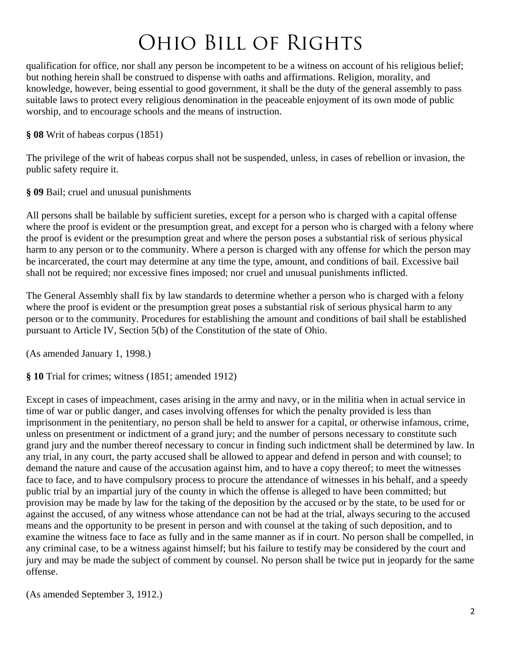qualification for office, nor shall any person be incompetent to be a witness on account of his religious belief; but nothing herein shall be construed to dispense with oaths and affirmations. Religion, morality, and knowledge, however, being essential to good government, it shall be the duty of the general assembly to pass suitable laws to protect every religious denomination in the peaceable enjoyment of its own mode of public worship, and to encourage schools and the means of instruction.

**§ 08** Writ of habeas corpus (1851)

The privilege of the writ of habeas corpus shall not be suspended, unless, in cases of rebellion or invasion, the public safety require it.

**§ 09** Bail; cruel and unusual punishments

All persons shall be bailable by sufficient sureties, except for a person who is charged with a capital offense where the proof is evident or the presumption great, and except for a person who is charged with a felony where the proof is evident or the presumption great and where the person poses a substantial risk of serious physical harm to any person or to the community. Where a person is charged with any offense for which the person may be incarcerated, the court may determine at any time the type, amount, and conditions of bail. Excessive bail shall not be required; nor excessive fines imposed; nor cruel and unusual punishments inflicted.

The General Assembly shall fix by law standards to determine whether a person who is charged with a felony where the proof is evident or the presumption great poses a substantial risk of serious physical harm to any person or to the community. Procedures for establishing the amount and conditions of bail shall be established pursuant to Article IV, Section 5(b) of the Constitution of the state of Ohio.

(As amended January 1, 1998.)

**§ 10** Trial for crimes; witness (1851; amended 1912)

Except in cases of impeachment, cases arising in the army and navy, or in the militia when in actual service in time of war or public danger, and cases involving offenses for which the penalty provided is less than imprisonment in the penitentiary, no person shall be held to answer for a capital, or otherwise infamous, crime, unless on presentment or indictment of a grand jury; and the number of persons necessary to constitute such grand jury and the number thereof necessary to concur in finding such indictment shall be determined by law. In any trial, in any court, the party accused shall be allowed to appear and defend in person and with counsel; to demand the nature and cause of the accusation against him, and to have a copy thereof; to meet the witnesses face to face, and to have compulsory process to procure the attendance of witnesses in his behalf, and a speedy public trial by an impartial jury of the county in which the offense is alleged to have been committed; but provision may be made by law for the taking of the deposition by the accused or by the state, to be used for or against the accused, of any witness whose attendance can not be had at the trial, always securing to the accused means and the opportunity to be present in person and with counsel at the taking of such deposition, and to examine the witness face to face as fully and in the same manner as if in court. No person shall be compelled, in any criminal case, to be a witness against himself; but his failure to testify may be considered by the court and jury and may be made the subject of comment by counsel. No person shall be twice put in jeopardy for the same offense.

(As amended September 3, 1912.)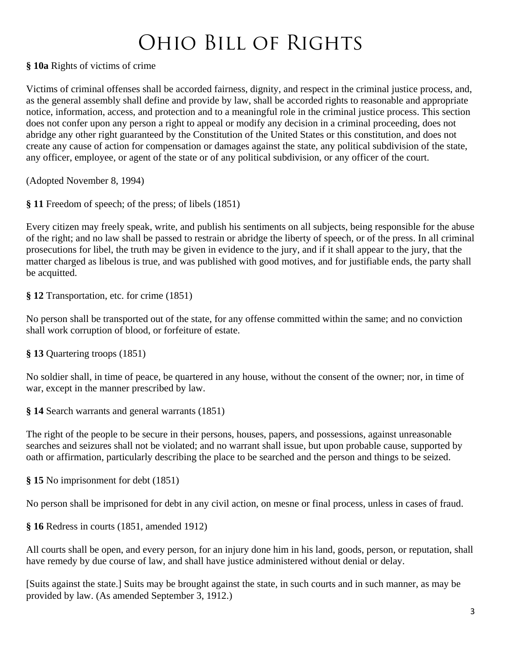**§ 10a** Rights of victims of crime

Victims of criminal offenses shall be accorded fairness, dignity, and respect in the criminal justice process, and, as the general assembly shall define and provide by law, shall be accorded rights to reasonable and appropriate notice, information, access, and protection and to a meaningful role in the criminal justice process. This section does not confer upon any person a right to appeal or modify any decision in a criminal proceeding, does not abridge any other right guaranteed by the Constitution of the United States or this constitution, and does not create any cause of action for compensation or damages against the state, any political subdivision of the state, any officer, employee, or agent of the state or of any political subdivision, or any officer of the court.

(Adopted November 8, 1994)

**§ 11** Freedom of speech; of the press; of libels (1851)

Every citizen may freely speak, write, and publish his sentiments on all subjects, being responsible for the abuse of the right; and no law shall be passed to restrain or abridge the liberty of speech, or of the press. In all criminal prosecutions for libel, the truth may be given in evidence to the jury, and if it shall appear to the jury, that the matter charged as libelous is true, and was published with good motives, and for justifiable ends, the party shall be acquitted.

**§ 12** Transportation, etc. for crime (1851)

No person shall be transported out of the state, for any offense committed within the same; and no conviction shall work corruption of blood, or forfeiture of estate.

**§ 13** Quartering troops (1851)

No soldier shall, in time of peace, be quartered in any house, without the consent of the owner; nor, in time of war, except in the manner prescribed by law.

**§ 14** Search warrants and general warrants (1851)

The right of the people to be secure in their persons, houses, papers, and possessions, against unreasonable searches and seizures shall not be violated; and no warrant shall issue, but upon probable cause, supported by oath or affirmation, particularly describing the place to be searched and the person and things to be seized.

**§ 15** No imprisonment for debt (1851)

No person shall be imprisoned for debt in any civil action, on mesne or final process, unless in cases of fraud.

**§ 16** Redress in courts (1851, amended 1912)

All courts shall be open, and every person, for an injury done him in his land, goods, person, or reputation, shall have remedy by due course of law, and shall have justice administered without denial or delay.

[Suits against the state.] Suits may be brought against the state, in such courts and in such manner, as may be provided by law. (As amended September 3, 1912.)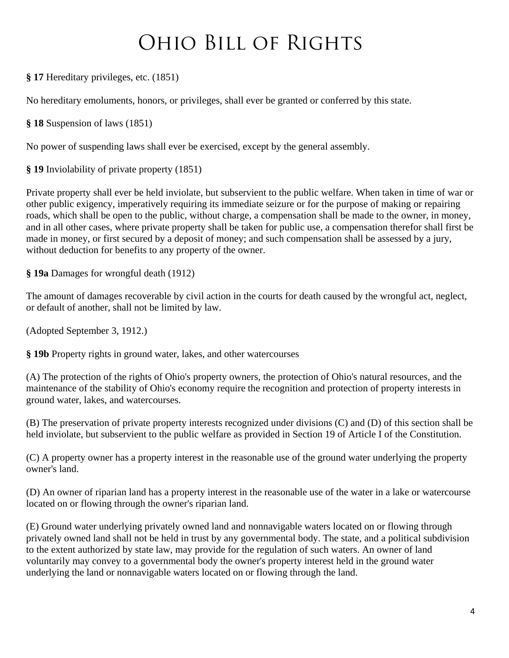**§ 17** Hereditary privileges, etc. (1851)

No hereditary emoluments, honors, or privileges, shall ever be granted or conferred by this state.

**§ 18** Suspension of laws (1851)

No power of suspending laws shall ever be exercised, except by the general assembly.

**§ 19** Inviolability of private property (1851)

Private property shall ever be held inviolate, but subservient to the public welfare. When taken in time of war or other public exigency, imperatively requiring its immediate seizure or for the purpose of making or repairing roads, which shall be open to the public, without charge, a compensation shall be made to the owner, in money, and in all other cases, where private property shall be taken for public use, a compensation therefor shall first be made in money, or first secured by a deposit of money; and such compensation shall be assessed by a jury, without deduction for benefits to any property of the owner.

**§ 19a** Damages for wrongful death (1912)

The amount of damages recoverable by civil action in the courts for death caused by the wrongful act, neglect, or default of another, shall not be limited by law.

(Adopted September 3, 1912.)

**§ 19b** Property rights in ground water, lakes, and other watercourses

(A) The protection of the rights of Ohio's property owners, the protection of Ohio's natural resources, and the maintenance of the stability of Ohio's economy require the recognition and protection of property interests in ground water, lakes, and watercourses.

(B) The preservation of private property interests recognized under divisions (C) and (D) of this section shall be held inviolate, but subservient to the public welfare as provided in Section 19 of Article I of the Constitution.

(C) A property owner has a property interest in the reasonable use of the ground water underlying the property owner's land.

(D) An owner of riparian land has a property interest in the reasonable use of the water in a lake or watercourse located on or flowing through the owner's riparian land.

(E) Ground water underlying privately owned land and nonnavigable waters located on or flowing through privately owned land shall not be held in trust by any governmental body. The state, and a political subdivision to the extent authorized by state law, may provide for the regulation of such waters. An owner of land voluntarily may convey to a governmental body the owner's property interest held in the ground water underlying the land or nonnavigable waters located on or flowing through the land.